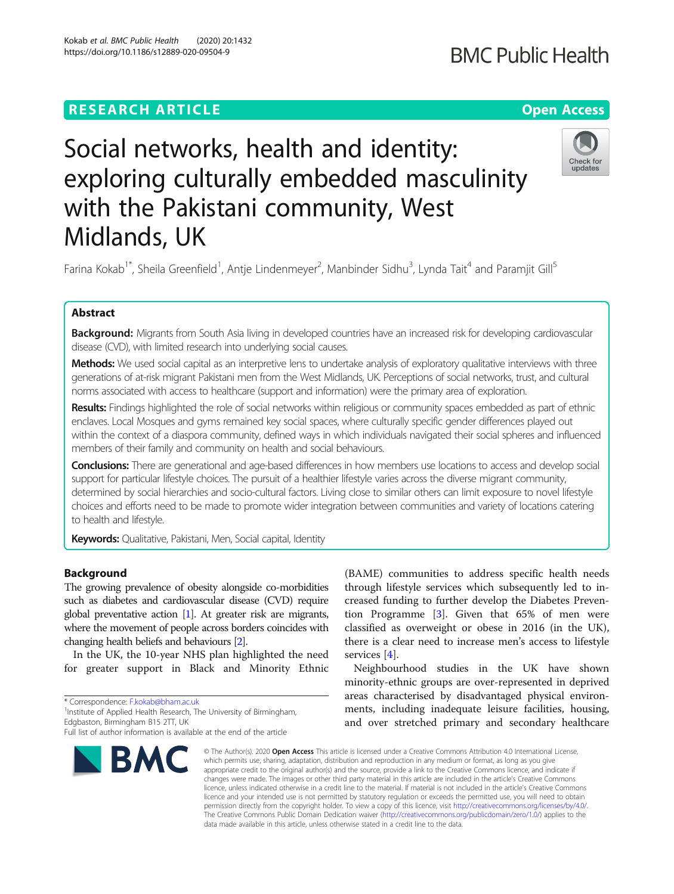# **RESEARCH ARTICLE Example 2014 12:30 The Contract of Contract ACCESS**

Kokab et al. BMC Public Health (2020) 20:1432 https://doi.org/10.1186/s12889-020-09504-9

# **BMC Public Health**

# Social networks, health and identity: exploring culturally embedded masculinity with the Pakistani community, West Midlands, UK



Farina Kokab<sup>1\*</sup>, Sheila Greenfield<sup>1</sup>, Antje Lindenmeyer<sup>2</sup>, Manbinder Sidhu<sup>3</sup>, Lynda Tait<sup>4</sup> and Paramjit Gill<sup>5</sup>

# Abstract

Background: Migrants from South Asia living in developed countries have an increased risk for developing cardiovascular disease (CVD), with limited research into underlying social causes.

Methods: We used social capital as an interpretive lens to undertake analysis of exploratory qualitative interviews with three generations of at-risk migrant Pakistani men from the West Midlands, UK. Perceptions of social networks, trust, and cultural norms associated with access to healthcare (support and information) were the primary area of exploration.

Results: Findings highlighted the role of social networks within religious or community spaces embedded as part of ethnic enclaves. Local Mosques and gyms remained key social spaces, where culturally specific gender differences played out within the context of a diaspora community, defined ways in which individuals navigated their social spheres and influenced members of their family and community on health and social behaviours.

Conclusions: There are generational and age-based differences in how members use locations to access and develop social support for particular lifestyle choices. The pursuit of a healthier lifestyle varies across the diverse migrant community, determined by social hierarchies and socio-cultural factors. Living close to similar others can limit exposure to novel lifestyle choices and efforts need to be made to promote wider integration between communities and variety of locations catering to health and lifestyle.

Keywords: Qualitative, Pakistani, Men, Social capital, Identity

# Background

The growing prevalence of obesity alongside co-morbidities such as diabetes and cardiovascular disease (CVD) require global preventative action [\[1\]](#page-10-0). At greater risk are migrants, where the movement of people across borders coincides with changing health beliefs and behaviours [[2](#page-10-0)].

In the UK, the 10-year NHS plan highlighted the need for greater support in Black and Minority Ethnic

\* Correspondence: [F.kokab@bham.ac.uk](mailto:F.kokab@bham.ac.uk) <sup>1</sup>

<sup>1</sup> Institute of Applied Health Research, The University of Birmingham, Edgbaston, Birmingham B15 2TT, UK

Full list of author information is available at the end of the article



(BAME) communities to address specific health needs through lifestyle services which subsequently led to increased funding to further develop the Diabetes Prevention Programme [[3](#page-10-0)]. Given that 65% of men were classified as overweight or obese in 2016 (in the UK), there is a clear need to increase men's access to lifestyle services [\[4](#page-10-0)].

Neighbourhood studies in the UK have shown minority-ethnic groups are over-represented in deprived areas characterised by disadvantaged physical environments, including inadequate leisure facilities, housing, and over stretched primary and secondary healthcare

© The Author(s). 2020 Open Access This article is licensed under a Creative Commons Attribution 4.0 International License, which permits use, sharing, adaptation, distribution and reproduction in any medium or format, as long as you give appropriate credit to the original author(s) and the source, provide a link to the Creative Commons licence, and indicate if changes were made. The images or other third party material in this article are included in the article's Creative Commons licence, unless indicated otherwise in a credit line to the material. If material is not included in the article's Creative Commons licence and your intended use is not permitted by statutory regulation or exceeds the permitted use, you will need to obtain permission directly from the copyright holder. To view a copy of this licence, visit [http://creativecommons.org/licenses/by/4.0/.](http://creativecommons.org/licenses/by/4.0/) The Creative Commons Public Domain Dedication waiver [\(http://creativecommons.org/publicdomain/zero/1.0/](http://creativecommons.org/publicdomain/zero/1.0/)) applies to the data made available in this article, unless otherwise stated in a credit line to the data.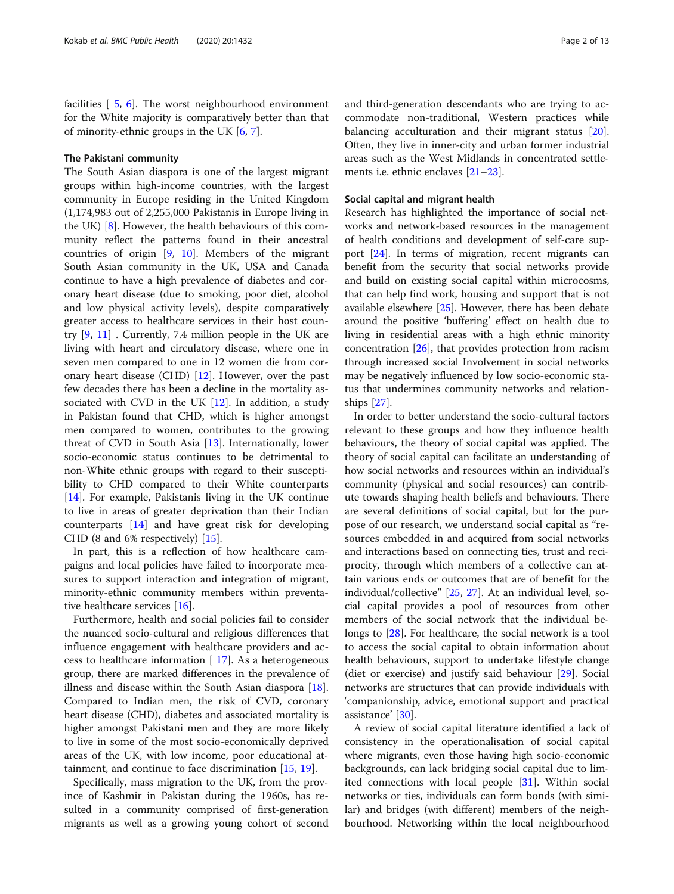facilities [ [5,](#page-10-0) [6\]](#page-10-0). The worst neighbourhood environment for the White majority is comparatively better than that of minority-ethnic groups in the UK [[6,](#page-10-0) [7\]](#page-11-0).

# The Pakistani community

The South Asian diaspora is one of the largest migrant groups within high-income countries, with the largest community in Europe residing in the United Kingdom (1,174,983 out of 2,255,000 Pakistanis in Europe living in the UK) [\[8](#page-11-0)]. However, the health behaviours of this community reflect the patterns found in their ancestral countries of origin [\[9](#page-11-0), [10](#page-11-0)]. Members of the migrant South Asian community in the UK, USA and Canada continue to have a high prevalence of diabetes and coronary heart disease (due to smoking, poor diet, alcohol and low physical activity levels), despite comparatively greater access to healthcare services in their host country [[9,](#page-11-0) [11](#page-11-0)] . Currently, 7.4 million people in the UK are living with heart and circulatory disease, where one in seven men compared to one in 12 women die from coronary heart disease (CHD) [[12\]](#page-11-0). However, over the past few decades there has been a decline in the mortality associated with CVD in the UK [\[12\]](#page-11-0). In addition, a study in Pakistan found that CHD, which is higher amongst men compared to women, contributes to the growing threat of CVD in South Asia [[13](#page-11-0)]. Internationally, lower socio-economic status continues to be detrimental to non-White ethnic groups with regard to their susceptibility to CHD compared to their White counterparts [[14\]](#page-11-0). For example, Pakistanis living in the UK continue to live in areas of greater deprivation than their Indian counterparts [[14](#page-11-0)] and have great risk for developing CHD (8 and 6% respectively) [\[15](#page-11-0)].

In part, this is a reflection of how healthcare campaigns and local policies have failed to incorporate measures to support interaction and integration of migrant, minority-ethnic community members within preventative healthcare services [[16\]](#page-11-0).

Furthermore, health and social policies fail to consider the nuanced socio-cultural and religious differences that influence engagement with healthcare providers and access to healthcare information [ [17](#page-11-0)]. As a heterogeneous group, there are marked differences in the prevalence of illness and disease within the South Asian diaspora [\[18](#page-11-0)]. Compared to Indian men, the risk of CVD, coronary heart disease (CHD), diabetes and associated mortality is higher amongst Pakistani men and they are more likely to live in some of the most socio-economically deprived areas of the UK, with low income, poor educational attainment, and continue to face discrimination [[15](#page-11-0), [19](#page-11-0)].

Specifically, mass migration to the UK, from the province of Kashmir in Pakistan during the 1960s, has resulted in a community comprised of first-generation migrants as well as a growing young cohort of second and third-generation descendants who are trying to accommodate non-traditional, Western practices while balancing acculturation and their migrant status [\[20](#page-11-0)]. Often, they live in inner-city and urban former industrial areas such as the West Midlands in concentrated settlements i.e. ethnic enclaves [[21](#page-11-0)–[23\]](#page-11-0).

# Social capital and migrant health

Research has highlighted the importance of social networks and network-based resources in the management of health conditions and development of self-care support [\[24\]](#page-11-0). In terms of migration, recent migrants can benefit from the security that social networks provide and build on existing social capital within microcosms, that can help find work, housing and support that is not available elsewhere [[25\]](#page-11-0). However, there has been debate around the positive 'buffering' effect on health due to living in residential areas with a high ethnic minority concentration [[26\]](#page-11-0), that provides protection from racism through increased social Involvement in social networks may be negatively influenced by low socio-economic status that undermines community networks and relationships [\[27](#page-11-0)].

In order to better understand the socio-cultural factors relevant to these groups and how they influence health behaviours, the theory of social capital was applied. The theory of social capital can facilitate an understanding of how social networks and resources within an individual's community (physical and social resources) can contribute towards shaping health beliefs and behaviours. There are several definitions of social capital, but for the purpose of our research, we understand social capital as "resources embedded in and acquired from social networks and interactions based on connecting ties, trust and reciprocity, through which members of a collective can attain various ends or outcomes that are of benefit for the individual/collective" [[25,](#page-11-0) [27](#page-11-0)]. At an individual level, social capital provides a pool of resources from other members of the social network that the individual belongs to [\[28\]](#page-11-0). For healthcare, the social network is a tool to access the social capital to obtain information about health behaviours, support to undertake lifestyle change (diet or exercise) and justify said behaviour [\[29](#page-11-0)]. Social networks are structures that can provide individuals with 'companionship, advice, emotional support and practical assistance' [[30\]](#page-11-0).

A review of social capital literature identified a lack of consistency in the operationalisation of social capital where migrants, even those having high socio-economic backgrounds, can lack bridging social capital due to limited connections with local people [[31](#page-11-0)]. Within social networks or ties, individuals can form bonds (with similar) and bridges (with different) members of the neighbourhood. Networking within the local neighbourhood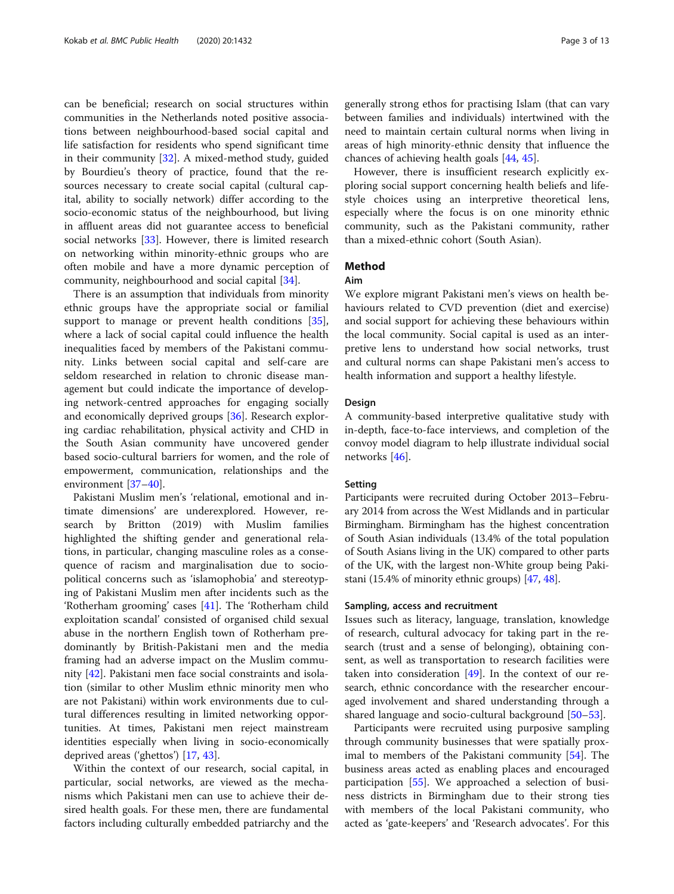can be beneficial; research on social structures within communities in the Netherlands noted positive associations between neighbourhood-based social capital and life satisfaction for residents who spend significant time in their community [[32](#page-11-0)]. A mixed-method study, guided by Bourdieu's theory of practice, found that the resources necessary to create social capital (cultural capital, ability to socially network) differ according to the socio-economic status of the neighbourhood, but living in affluent areas did not guarantee access to beneficial social networks [[33](#page-11-0)]. However, there is limited research on networking within minority-ethnic groups who are often mobile and have a more dynamic perception of community, neighbourhood and social capital [\[34](#page-11-0)].

There is an assumption that individuals from minority ethnic groups have the appropriate social or familial support to manage or prevent health conditions [\[35](#page-11-0)], where a lack of social capital could influence the health inequalities faced by members of the Pakistani community. Links between social capital and self-care are seldom researched in relation to chronic disease management but could indicate the importance of developing network-centred approaches for engaging socially and economically deprived groups [[36](#page-11-0)]. Research exploring cardiac rehabilitation, physical activity and CHD in the South Asian community have uncovered gender based socio-cultural barriers for women, and the role of empowerment, communication, relationships and the environment [\[37](#page-11-0)–[40\]](#page-11-0).

Pakistani Muslim men's 'relational, emotional and intimate dimensions' are underexplored. However, research by Britton (2019) with Muslim families highlighted the shifting gender and generational relations, in particular, changing masculine roles as a consequence of racism and marginalisation due to sociopolitical concerns such as 'islamophobia' and stereotyping of Pakistani Muslim men after incidents such as the 'Rotherham grooming' cases [[41](#page-11-0)]. The 'Rotherham child exploitation scandal' consisted of organised child sexual abuse in the northern English town of Rotherham predominantly by British-Pakistani men and the media framing had an adverse impact on the Muslim community [\[42](#page-11-0)]. Pakistani men face social constraints and isolation (similar to other Muslim ethnic minority men who are not Pakistani) within work environments due to cultural differences resulting in limited networking opportunities. At times, Pakistani men reject mainstream identities especially when living in socio-economically deprived areas ('ghettos') [\[17](#page-11-0), [43](#page-11-0)].

Within the context of our research, social capital, in particular, social networks, are viewed as the mechanisms which Pakistani men can use to achieve their desired health goals. For these men, there are fundamental factors including culturally embedded patriarchy and the generally strong ethos for practising Islam (that can vary between families and individuals) intertwined with the need to maintain certain cultural norms when living in areas of high minority-ethnic density that influence the chances of achieving health goals [[44](#page-11-0), [45](#page-11-0)].

However, there is insufficient research explicitly exploring social support concerning health beliefs and lifestyle choices using an interpretive theoretical lens, especially where the focus is on one minority ethnic community, such as the Pakistani community, rather than a mixed-ethnic cohort (South Asian).

# Method

# Aim

We explore migrant Pakistani men's views on health behaviours related to CVD prevention (diet and exercise) and social support for achieving these behaviours within the local community. Social capital is used as an interpretive lens to understand how social networks, trust and cultural norms can shape Pakistani men's access to health information and support a healthy lifestyle.

# Design

A community-based interpretive qualitative study with in-depth, face-to-face interviews, and completion of the convoy model diagram to help illustrate individual social networks [\[46\]](#page-11-0).

# Setting

Participants were recruited during October 2013–February 2014 from across the West Midlands and in particular Birmingham. Birmingham has the highest concentration of South Asian individuals (13.4% of the total population of South Asians living in the UK) compared to other parts of the UK, with the largest non-White group being Pakistani (15.4% of minority ethnic groups) [\[47,](#page-11-0) [48](#page-11-0)].

# Sampling, access and recruitment

Issues such as literacy, language, translation, knowledge of research, cultural advocacy for taking part in the research (trust and a sense of belonging), obtaining consent, as well as transportation to research facilities were taken into consideration  $[49]$  $[49]$  $[49]$ . In the context of our research, ethnic concordance with the researcher encouraged involvement and shared understanding through a shared language and socio-cultural background [[50](#page-11-0)–[53](#page-11-0)].

Participants were recruited using purposive sampling through community businesses that were spatially proximal to members of the Pakistani community [\[54](#page-11-0)]. The business areas acted as enabling places and encouraged participation [[55](#page-11-0)]. We approached a selection of business districts in Birmingham due to their strong ties with members of the local Pakistani community, who acted as 'gate-keepers' and 'Research advocates'. For this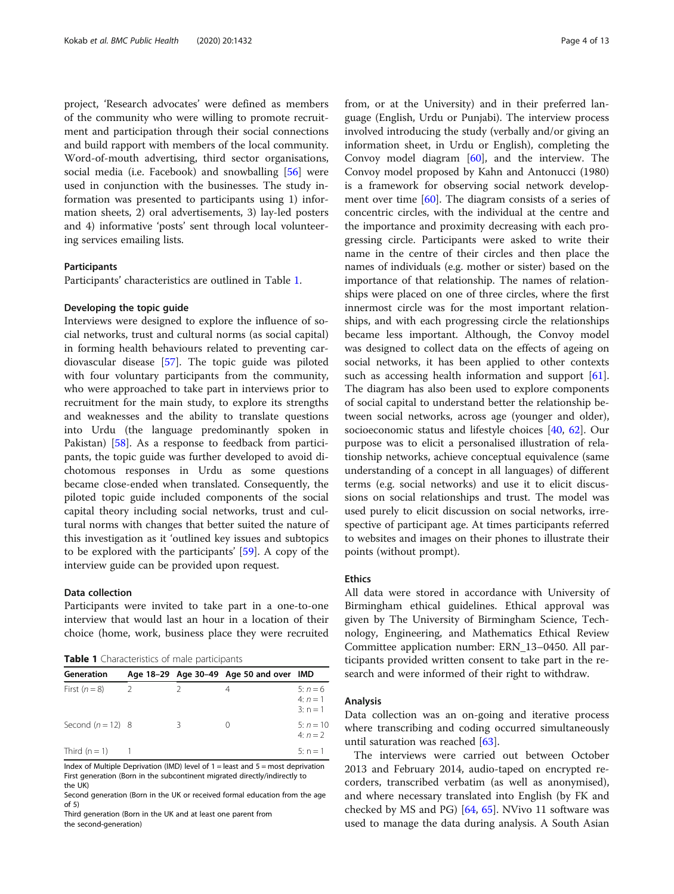project, 'Research advocates' were defined as members of the community who were willing to promote recruitment and participation through their social connections and build rapport with members of the local community. Word-of-mouth advertising, third sector organisations, social media (i.e. Facebook) and snowballing [[56\]](#page-11-0) were used in conjunction with the businesses. The study information was presented to participants using 1) information sheets, 2) oral advertisements, 3) lay-led posters and 4) informative 'posts' sent through local volunteering services emailing lists.

#### Participants

Participants' characteristics are outlined in Table 1.

# Developing the topic guide

Interviews were designed to explore the influence of social networks, trust and cultural norms (as social capital) in forming health behaviours related to preventing cardiovascular disease [\[57](#page-11-0)]. The topic guide was piloted with four voluntary participants from the community, who were approached to take part in interviews prior to recruitment for the main study, to explore its strengths and weaknesses and the ability to translate questions into Urdu (the language predominantly spoken in Pakistan) [\[58](#page-12-0)]. As a response to feedback from participants, the topic guide was further developed to avoid dichotomous responses in Urdu as some questions became close-ended when translated. Consequently, the piloted topic guide included components of the social capital theory including social networks, trust and cultural norms with changes that better suited the nature of this investigation as it 'outlined key issues and subtopics to be explored with the participants' [[59](#page-12-0)]. A copy of the interview guide can be provided upon request.

# Data collection

Participants were invited to take part in a one-to-one interview that would last an hour in a location of their choice (home, work, business place they were recruited

Table 1 Characteristics of male participants

| <b>Generation</b>   |               |   | Age 18-29 Age 30-49 Age 50 and over IMD |                                        |
|---------------------|---------------|---|-----------------------------------------|----------------------------------------|
| First $(n=8)$       | $\mathcal{L}$ |   |                                         | 5: $n = 6$<br>4: $n = 1$<br>$3: n = 1$ |
| Second $(n = 12)$ 8 |               | 3 | $\left( \right)$                        | 5: $n = 10$<br>4: $n = 2$              |
| Third $(n = 1)$     |               |   |                                         | $5: n = 1$                             |

Index of Multiple Deprivation (IMD) level of  $1 =$  least and  $5 =$  most deprivation First generation (Born in the subcontinent migrated directly/indirectly to the UK)

Second generation (Born in the UK or received formal education from the age of 5)

Third generation (Born in the UK and at least one parent from the second-generation)

from, or at the University) and in their preferred language (English, Urdu or Punjabi). The interview process involved introducing the study (verbally and/or giving an information sheet, in Urdu or English), completing the Convoy model diagram [[60](#page-12-0)], and the interview. The Convoy model proposed by Kahn and Antonucci (1980) is a framework for observing social network development over time [\[60](#page-12-0)]. The diagram consists of a series of concentric circles, with the individual at the centre and the importance and proximity decreasing with each progressing circle. Participants were asked to write their name in the centre of their circles and then place the names of individuals (e.g. mother or sister) based on the importance of that relationship. The names of relationships were placed on one of three circles, where the first innermost circle was for the most important relationships, and with each progressing circle the relationships became less important. Although, the Convoy model was designed to collect data on the effects of ageing on social networks, it has been applied to other contexts such as accessing health information and support [\[61](#page-12-0)]. The diagram has also been used to explore components of social capital to understand better the relationship between social networks, across age (younger and older), socioeconomic status and lifestyle choices [\[40,](#page-11-0) [62\]](#page-12-0). Our purpose was to elicit a personalised illustration of relationship networks, achieve conceptual equivalence (same understanding of a concept in all languages) of different terms (e.g. social networks) and use it to elicit discussions on social relationships and trust. The model was used purely to elicit discussion on social networks, irrespective of participant age. At times participants referred to websites and images on their phones to illustrate their points (without prompt).

# Ethics

All data were stored in accordance with University of Birmingham ethical guidelines. Ethical approval was given by The University of Birmingham Science, Technology, Engineering, and Mathematics Ethical Review Committee application number: ERN\_13–0450. All participants provided written consent to take part in the research and were informed of their right to withdraw.

# Analysis

Data collection was an on-going and iterative process where transcribing and coding occurred simultaneously until saturation was reached [[63](#page-12-0)].

The interviews were carried out between October 2013 and February 2014, audio-taped on encrypted recorders, transcribed verbatim (as well as anonymised), and where necessary translated into English (by FK and checked by MS and PG)  $[64, 65]$  $[64, 65]$  $[64, 65]$  $[64, 65]$ . NVivo 11 software was used to manage the data during analysis. A South Asian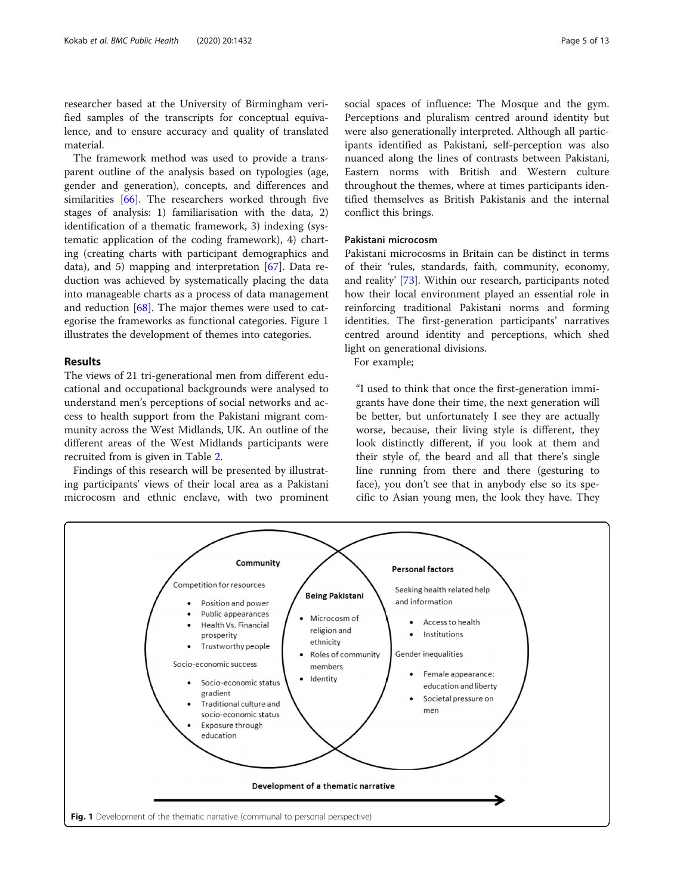researcher based at the University of Birmingham verified samples of the transcripts for conceptual equivalence, and to ensure accuracy and quality of translated material.

The framework method was used to provide a transparent outline of the analysis based on typologies (age, gender and generation), concepts, and differences and similarities [\[66](#page-12-0)]. The researchers worked through five stages of analysis: 1) familiarisation with the data, 2) identification of a thematic framework, 3) indexing (systematic application of the coding framework), 4) charting (creating charts with participant demographics and data), and 5) mapping and interpretation  $[67]$  $[67]$  $[67]$ . Data reduction was achieved by systematically placing the data into manageable charts as a process of data management and reduction [[68\]](#page-12-0). The major themes were used to categorise the frameworks as functional categories. Figure 1 illustrates the development of themes into categories.

# Results

The views of 21 tri-generational men from different educational and occupational backgrounds were analysed to understand men's perceptions of social networks and access to health support from the Pakistani migrant community across the West Midlands, UK. An outline of the different areas of the West Midlands participants were recruited from is given in Table [2.](#page-5-0)

Findings of this research will be presented by illustrating participants' views of their local area as a Pakistani microcosm and ethnic enclave, with two prominent social spaces of influence: The Mosque and the gym. Perceptions and pluralism centred around identity but were also generationally interpreted. Although all participants identified as Pakistani, self-perception was also nuanced along the lines of contrasts between Pakistani, Eastern norms with British and Western culture throughout the themes, where at times participants identified themselves as British Pakistanis and the internal conflict this brings.

# Pakistani microcosm

Pakistani microcosms in Britain can be distinct in terms of their 'rules, standards, faith, community, economy, and reality' [[73](#page-12-0)]. Within our research, participants noted how their local environment played an essential role in reinforcing traditional Pakistani norms and forming identities. The first-generation participants' narratives centred around identity and perceptions, which shed light on generational divisions.

For example;

"I used to think that once the first-generation immigrants have done their time, the next generation will be better, but unfortunately I see they are actually worse, because, their living style is different, they look distinctly different, if you look at them and their style of, the beard and all that there's single line running from there and there (gesturing to face), you don't see that in anybody else so its specific to Asian young men, the look they have. They

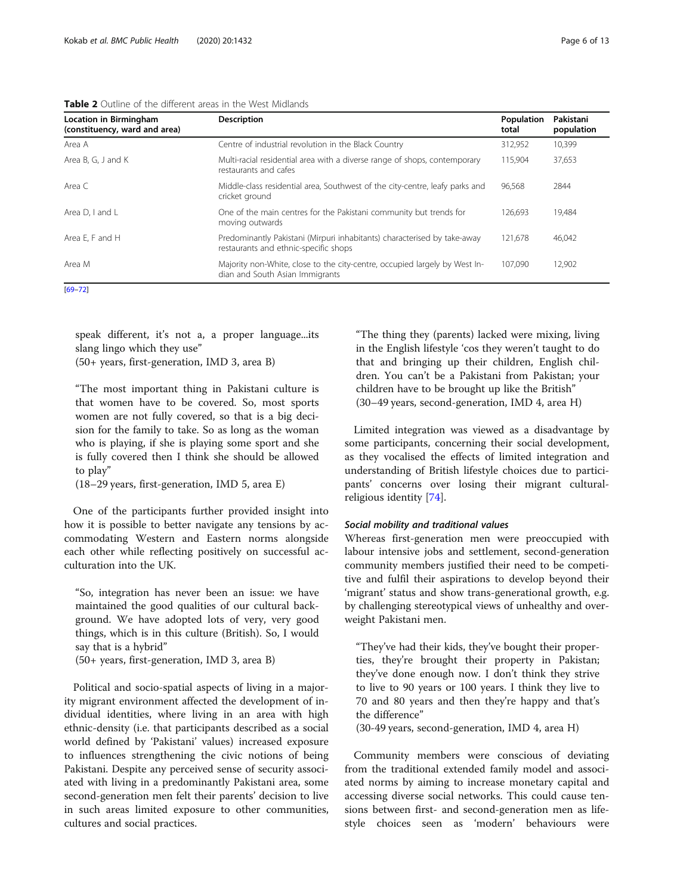| <b>Location in Birmingham</b><br>(constituency, ward and area) | <b>Description</b>                                                                                                | Population<br>total | Pakistani<br>population |
|----------------------------------------------------------------|-------------------------------------------------------------------------------------------------------------------|---------------------|-------------------------|
| Area A                                                         | Centre of industrial revolution in the Black Country                                                              | 312,952             | 10,399                  |
| Area B, G, J and K                                             | Multi-racial residential area with a diverse range of shops, contemporary<br>restaurants and cafes                | 115,904             | 37,653                  |
| Area C                                                         | Middle-class residential area, Southwest of the city-centre, leafy parks and<br>cricket ground                    | 96,568              | 2844                    |
| Area D. I and L                                                | One of the main centres for the Pakistani community but trends for<br>moving outwards                             | 126.693             | 19,484                  |
| Area E, F and H                                                | Predominantly Pakistani (Mirpuri inhabitants) characterised by take-away<br>restaurants and ethnic-specific shops | 121,678             | 46,042                  |
| Area M                                                         | Majority non-White, close to the city-centre, occupied largely by West In-<br>dian and South Asian Immigrants     | 107.090             | 12,902                  |

<span id="page-5-0"></span>Table 2 Outline of the different areas in the West Midlands

[[69](#page-12-0)–[72](#page-12-0)]

speak different, it's not a, a proper language...its slang lingo which they use"

(50+ years, first-generation, IMD 3, area B)

"The most important thing in Pakistani culture is that women have to be covered. So, most sports women are not fully covered, so that is a big decision for the family to take. So as long as the woman who is playing, if she is playing some sport and she is fully covered then I think she should be allowed to play"

(18–29 years, first-generation, IMD 5, area E)

One of the participants further provided insight into how it is possible to better navigate any tensions by accommodating Western and Eastern norms alongside each other while reflecting positively on successful acculturation into the UK.

"So, integration has never been an issue: we have maintained the good qualities of our cultural background. We have adopted lots of very, very good things, which is in this culture (British). So, I would say that is a hybrid"

(50+ years, first-generation, IMD 3, area B)

Political and socio-spatial aspects of living in a majority migrant environment affected the development of individual identities, where living in an area with high ethnic-density (i.e. that participants described as a social world defined by 'Pakistani' values) increased exposure to influences strengthening the civic notions of being Pakistani. Despite any perceived sense of security associated with living in a predominantly Pakistani area, some second-generation men felt their parents' decision to live in such areas limited exposure to other communities, cultures and social practices.

"The thing they (parents) lacked were mixing, living in the English lifestyle 'cos they weren't taught to do that and bringing up their children, English children. You can't be a Pakistani from Pakistan; your children have to be brought up like the British" (30–49 years, second-generation, IMD 4, area H)

Limited integration was viewed as a disadvantage by some participants, concerning their social development, as they vocalised the effects of limited integration and understanding of British lifestyle choices due to participants' concerns over losing their migrant culturalreligious identity [\[74](#page-12-0)].

# Social mobility and traditional values

Whereas first-generation men were preoccupied with labour intensive jobs and settlement, second-generation community members justified their need to be competitive and fulfil their aspirations to develop beyond their 'migrant' status and show trans-generational growth, e.g. by challenging stereotypical views of unhealthy and overweight Pakistani men.

"They've had their kids, they've bought their properties, they're brought their property in Pakistan; they've done enough now. I don't think they strive to live to 90 years or 100 years. I think they live to 70 and 80 years and then they're happy and that's the difference"

(30-49 years, second-generation, IMD 4, area H)

Community members were conscious of deviating from the traditional extended family model and associated norms by aiming to increase monetary capital and accessing diverse social networks. This could cause tensions between first- and second-generation men as lifestyle choices seen as 'modern' behaviours were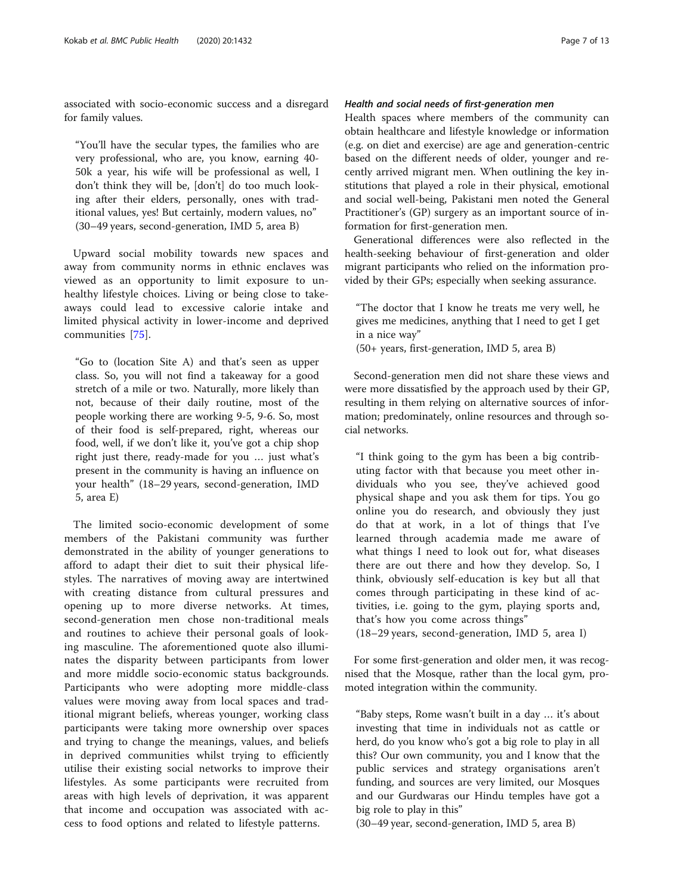associated with socio-economic success and a disregard for family values.

"You'll have the secular types, the families who are very professional, who are, you know, earning 40- 50k a year, his wife will be professional as well, I don't think they will be, [don't] do too much looking after their elders, personally, ones with traditional values, yes! But certainly, modern values, no" (30–49 years, second-generation, IMD 5, area B)

Upward social mobility towards new spaces and away from community norms in ethnic enclaves was viewed as an opportunity to limit exposure to unhealthy lifestyle choices. Living or being close to takeaways could lead to excessive calorie intake and limited physical activity in lower-income and deprived communities [[75\]](#page-12-0).

"Go to (location Site A) and that's seen as upper class. So, you will not find a takeaway for a good stretch of a mile or two. Naturally, more likely than not, because of their daily routine, most of the people working there are working 9-5, 9-6. So, most of their food is self-prepared, right, whereas our food, well, if we don't like it, you've got a chip shop right just there, ready-made for you … just what's present in the community is having an influence on your health" (18–29 years, second-generation, IMD 5, area E)

The limited socio-economic development of some members of the Pakistani community was further demonstrated in the ability of younger generations to afford to adapt their diet to suit their physical lifestyles. The narratives of moving away are intertwined with creating distance from cultural pressures and opening up to more diverse networks. At times, second-generation men chose non-traditional meals and routines to achieve their personal goals of looking masculine. The aforementioned quote also illuminates the disparity between participants from lower and more middle socio-economic status backgrounds. Participants who were adopting more middle-class values were moving away from local spaces and traditional migrant beliefs, whereas younger, working class participants were taking more ownership over spaces and trying to change the meanings, values, and beliefs in deprived communities whilst trying to efficiently utilise their existing social networks to improve their lifestyles. As some participants were recruited from areas with high levels of deprivation, it was apparent that income and occupation was associated with access to food options and related to lifestyle patterns.

# Health and social needs of first-generation men

Health spaces where members of the community can obtain healthcare and lifestyle knowledge or information (e.g. on diet and exercise) are age and generation-centric based on the different needs of older, younger and recently arrived migrant men. When outlining the key institutions that played a role in their physical, emotional and social well-being, Pakistani men noted the General Practitioner's (GP) surgery as an important source of information for first-generation men.

Generational differences were also reflected in the health-seeking behaviour of first-generation and older migrant participants who relied on the information provided by their GPs; especially when seeking assurance.

"The doctor that I know he treats me very well, he gives me medicines, anything that I need to get I get in a nice way" (50+ years, first-generation, IMD 5, area B)

Second-generation men did not share these views and were more dissatisfied by the approach used by their GP, resulting in them relying on alternative sources of information; predominately, online resources and through social networks.

"I think going to the gym has been a big contributing factor with that because you meet other individuals who you see, they've achieved good physical shape and you ask them for tips. You go online you do research, and obviously they just do that at work, in a lot of things that I've learned through academia made me aware of what things I need to look out for, what diseases there are out there and how they develop. So, I think, obviously self-education is key but all that comes through participating in these kind of activities, i.e. going to the gym, playing sports and, that's how you come across things"

For some first-generation and older men, it was recognised that the Mosque, rather than the local gym, promoted integration within the community.

"Baby steps, Rome wasn't built in a day … it's about investing that time in individuals not as cattle or herd, do you know who's got a big role to play in all this? Our own community, you and I know that the public services and strategy organisations aren't funding, and sources are very limited, our Mosques and our Gurdwaras our Hindu temples have got a big role to play in this"

(30–49 year, second-generation, IMD 5, area B)

<sup>(18</sup>–29 years, second-generation, IMD 5, area I)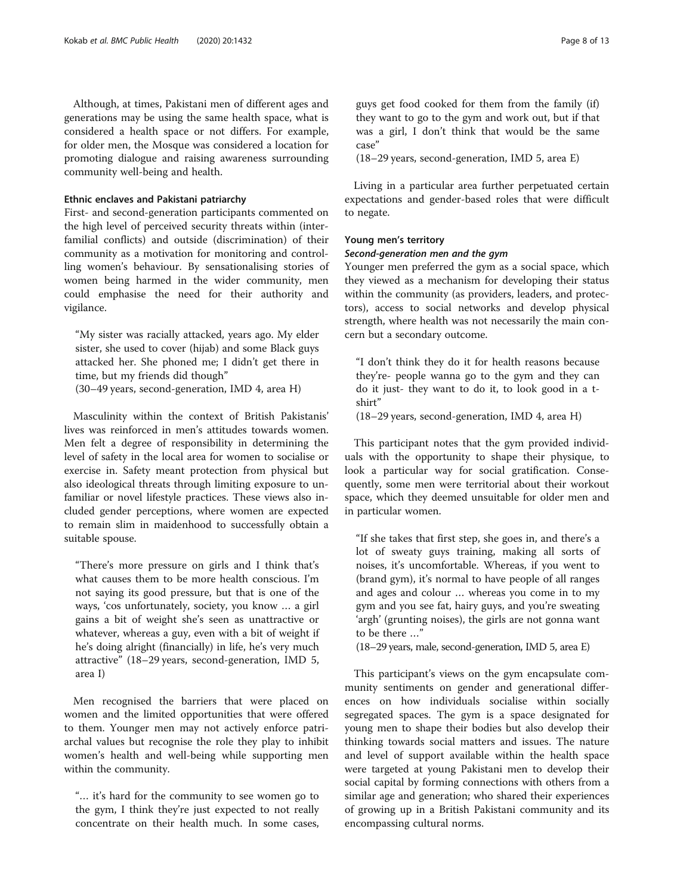Although, at times, Pakistani men of different ages and generations may be using the same health space, what is considered a health space or not differs. For example, for older men, the Mosque was considered a location for promoting dialogue and raising awareness surrounding community well-being and health.

# Ethnic enclaves and Pakistani patriarchy

First- and second-generation participants commented on the high level of perceived security threats within (interfamilial conflicts) and outside (discrimination) of their community as a motivation for monitoring and controlling women's behaviour. By sensationalising stories of women being harmed in the wider community, men could emphasise the need for their authority and vigilance.

"My sister was racially attacked, years ago. My elder sister, she used to cover (hijab) and some Black guys attacked her. She phoned me; I didn't get there in time, but my friends did though"

(30–49 years, second-generation, IMD 4, area H)

Masculinity within the context of British Pakistanis' lives was reinforced in men's attitudes towards women. Men felt a degree of responsibility in determining the level of safety in the local area for women to socialise or exercise in. Safety meant protection from physical but also ideological threats through limiting exposure to unfamiliar or novel lifestyle practices. These views also included gender perceptions, where women are expected to remain slim in maidenhood to successfully obtain a suitable spouse.

"There's more pressure on girls and I think that's what causes them to be more health conscious. I'm not saying its good pressure, but that is one of the ways, 'cos unfortunately, society, you know … a girl gains a bit of weight she's seen as unattractive or whatever, whereas a guy, even with a bit of weight if he's doing alright (financially) in life, he's very much attractive" (18–29 years, second-generation, IMD 5, area I)

Men recognised the barriers that were placed on women and the limited opportunities that were offered to them. Younger men may not actively enforce patriarchal values but recognise the role they play to inhibit women's health and well-being while supporting men within the community.

"… it's hard for the community to see women go to the gym, I think they're just expected to not really concentrate on their health much. In some cases,

guys get food cooked for them from the family (if) they want to go to the gym and work out, but if that was a girl, I don't think that would be the same case"

(18–29 years, second-generation, IMD 5, area E)

Living in a particular area further perpetuated certain expectations and gender-based roles that were difficult to negate.

# Young men's territory

# Second-generation men and the gym

Younger men preferred the gym as a social space, which they viewed as a mechanism for developing their status within the community (as providers, leaders, and protectors), access to social networks and develop physical strength, where health was not necessarily the main concern but a secondary outcome.

"I don't think they do it for health reasons because they're- people wanna go to the gym and they can do it just- they want to do it, to look good in a tshirt"

(18–29 years, second-generation, IMD 4, area H)

This participant notes that the gym provided individuals with the opportunity to shape their physique, to look a particular way for social gratification. Consequently, some men were territorial about their workout space, which they deemed unsuitable for older men and in particular women.

"If she takes that first step, she goes in, and there's a lot of sweaty guys training, making all sorts of noises, it's uncomfortable. Whereas, if you went to (brand gym), it's normal to have people of all ranges and ages and colour … whereas you come in to my gym and you see fat, hairy guys, and you're sweating 'argh' (grunting noises), the girls are not gonna want to be there …"

(18–29 years, male, second-generation, IMD 5, area E)

This participant's views on the gym encapsulate community sentiments on gender and generational differences on how individuals socialise within socially segregated spaces. The gym is a space designated for young men to shape their bodies but also develop their thinking towards social matters and issues. The nature and level of support available within the health space were targeted at young Pakistani men to develop their social capital by forming connections with others from a similar age and generation; who shared their experiences of growing up in a British Pakistani community and its encompassing cultural norms.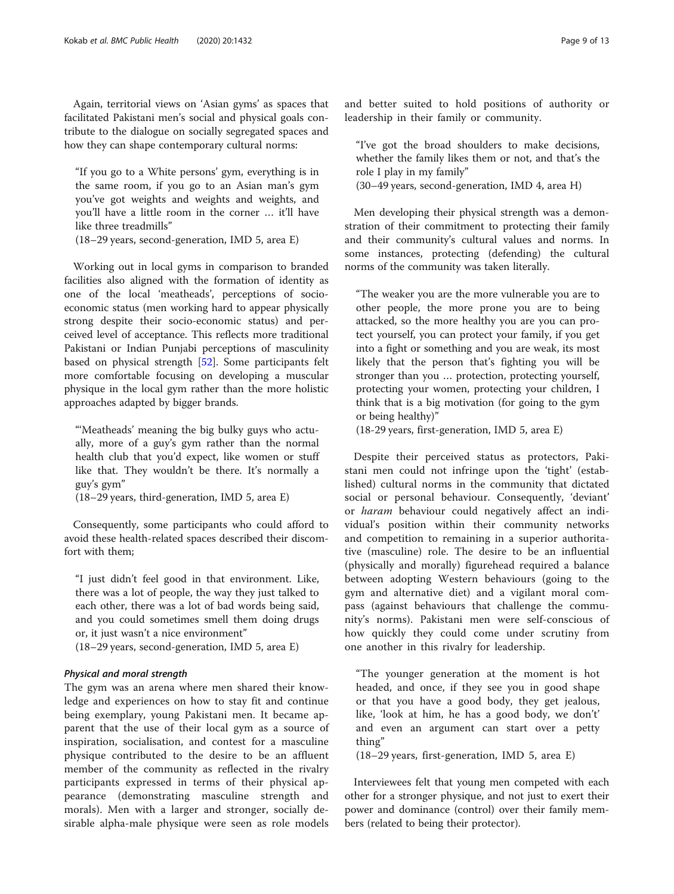Again, territorial views on 'Asian gyms' as spaces that facilitated Pakistani men's social and physical goals contribute to the dialogue on socially segregated spaces and how they can shape contemporary cultural norms:

"If you go to a White persons' gym, everything is in the same room, if you go to an Asian man's gym you've got weights and weights and weights, and you'll have a little room in the corner … it'll have like three treadmills"

(18–29 years, second-generation, IMD 5, area E)

Working out in local gyms in comparison to branded facilities also aligned with the formation of identity as one of the local 'meatheads', perceptions of socioeconomic status (men working hard to appear physically strong despite their socio-economic status) and perceived level of acceptance. This reflects more traditional Pakistani or Indian Punjabi perceptions of masculinity based on physical strength [[52\]](#page-11-0). Some participants felt more comfortable focusing on developing a muscular physique in the local gym rather than the more holistic approaches adapted by bigger brands.

"'Meatheads' meaning the big bulky guys who actually, more of a guy's gym rather than the normal health club that you'd expect, like women or stuff like that. They wouldn't be there. It's normally a guy's gym"

(18–29 years, third-generation, IMD 5, area E)

Consequently, some participants who could afford to avoid these health-related spaces described their discomfort with them;

"I just didn't feel good in that environment. Like, there was a lot of people, the way they just talked to each other, there was a lot of bad words being said, and you could sometimes smell them doing drugs or, it just wasn't a nice environment"

(18–29 years, second-generation, IMD 5, area E)

# Physical and moral strength

The gym was an arena where men shared their knowledge and experiences on how to stay fit and continue being exemplary, young Pakistani men. It became apparent that the use of their local gym as a source of inspiration, socialisation, and contest for a masculine physique contributed to the desire to be an affluent member of the community as reflected in the rivalry participants expressed in terms of their physical appearance (demonstrating masculine strength and morals). Men with a larger and stronger, socially desirable alpha-male physique were seen as role models

and better suited to hold positions of authority or leadership in their family or community.

"I've got the broad shoulders to make decisions, whether the family likes them or not, and that's the role I play in my family" (30–49 years, second-generation, IMD 4, area H)

Men developing their physical strength was a demonstration of their commitment to protecting their family and their community's cultural values and norms. In some instances, protecting (defending) the cultural norms of the community was taken literally.

"The weaker you are the more vulnerable you are to other people, the more prone you are to being attacked, so the more healthy you are you can protect yourself, you can protect your family, if you get into a fight or something and you are weak, its most likely that the person that's fighting you will be stronger than you … protection, protecting yourself, protecting your women, protecting your children, I think that is a big motivation (for going to the gym or being healthy)"

(18-29 years, first-generation, IMD 5, area E)

Despite their perceived status as protectors, Pakistani men could not infringe upon the 'tight' (established) cultural norms in the community that dictated social or personal behaviour. Consequently, 'deviant' or haram behaviour could negatively affect an individual's position within their community networks and competition to remaining in a superior authoritative (masculine) role. The desire to be an influential (physically and morally) figurehead required a balance between adopting Western behaviours (going to the gym and alternative diet) and a vigilant moral compass (against behaviours that challenge the community's norms). Pakistani men were self-conscious of how quickly they could come under scrutiny from one another in this rivalry for leadership.

"The younger generation at the moment is hot headed, and once, if they see you in good shape or that you have a good body, they get jealous, like, 'look at him, he has a good body, we don't' and even an argument can start over a petty thing"

(18–29 years, first-generation, IMD 5, area E)

Interviewees felt that young men competed with each other for a stronger physique, and not just to exert their power and dominance (control) over their family members (related to being their protector).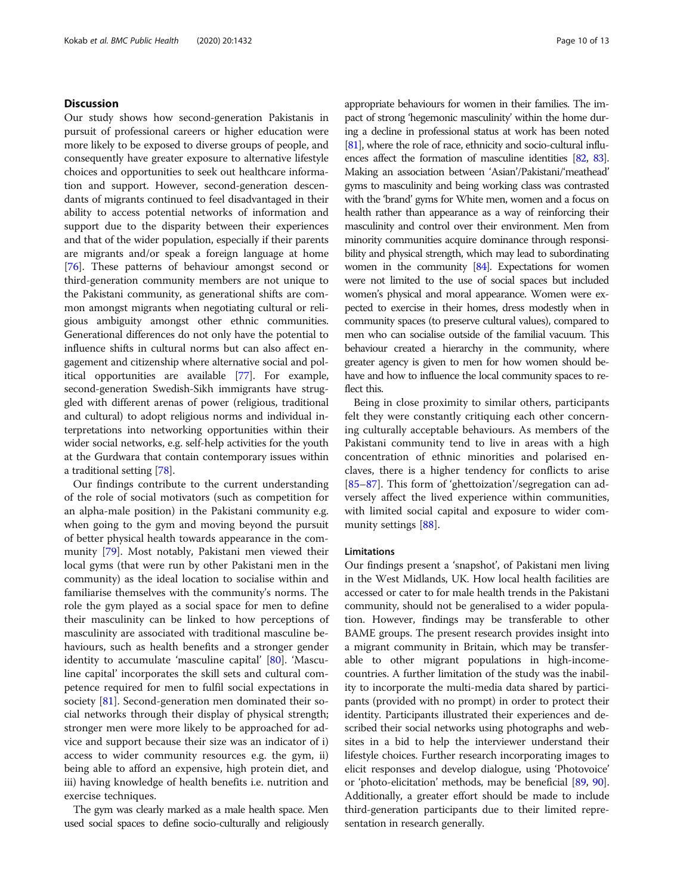# **Discussion**

Our study shows how second-generation Pakistanis in pursuit of professional careers or higher education were more likely to be exposed to diverse groups of people, and consequently have greater exposure to alternative lifestyle choices and opportunities to seek out healthcare information and support. However, second-generation descendants of migrants continued to feel disadvantaged in their ability to access potential networks of information and support due to the disparity between their experiences and that of the wider population, especially if their parents are migrants and/or speak a foreign language at home [[76](#page-12-0)]. These patterns of behaviour amongst second or third-generation community members are not unique to the Pakistani community, as generational shifts are common amongst migrants when negotiating cultural or religious ambiguity amongst other ethnic communities. Generational differences do not only have the potential to influence shifts in cultural norms but can also affect engagement and citizenship where alternative social and political opportunities are available [[77](#page-12-0)]. For example, second-generation Swedish-Sikh immigrants have struggled with different arenas of power (religious, traditional and cultural) to adopt religious norms and individual interpretations into networking opportunities within their wider social networks, e.g. self-help activities for the youth at the Gurdwara that contain contemporary issues within a traditional setting [[78](#page-12-0)].

Our findings contribute to the current understanding of the role of social motivators (such as competition for an alpha-male position) in the Pakistani community e.g. when going to the gym and moving beyond the pursuit of better physical health towards appearance in the community [\[79](#page-12-0)]. Most notably, Pakistani men viewed their local gyms (that were run by other Pakistani men in the community) as the ideal location to socialise within and familiarise themselves with the community's norms. The role the gym played as a social space for men to define their masculinity can be linked to how perceptions of masculinity are associated with traditional masculine behaviours, such as health benefits and a stronger gender identity to accumulate 'masculine capital' [[80](#page-12-0)]. 'Masculine capital' incorporates the skill sets and cultural competence required for men to fulfil social expectations in society [[81\]](#page-12-0). Second-generation men dominated their social networks through their display of physical strength; stronger men were more likely to be approached for advice and support because their size was an indicator of i) access to wider community resources e.g. the gym, ii) being able to afford an expensive, high protein diet, and iii) having knowledge of health benefits i.e. nutrition and exercise techniques.

The gym was clearly marked as a male health space. Men used social spaces to define socio-culturally and religiously

appropriate behaviours for women in their families. The impact of strong 'hegemonic masculinity' within the home during a decline in professional status at work has been noted [[81\]](#page-12-0), where the role of race, ethnicity and socio-cultural influences affect the formation of masculine identities [\[82](#page-12-0), [83\]](#page-12-0). Making an association between 'Asian'/Pakistani/'meathead' gyms to masculinity and being working class was contrasted with the 'brand' gyms for White men, women and a focus on health rather than appearance as a way of reinforcing their masculinity and control over their environment. Men from minority communities acquire dominance through responsibility and physical strength, which may lead to subordinating women in the community  $[84]$  $[84]$ . Expectations for women were not limited to the use of social spaces but included women's physical and moral appearance. Women were expected to exercise in their homes, dress modestly when in community spaces (to preserve cultural values), compared to men who can socialise outside of the familial vacuum. This behaviour created a hierarchy in the community, where greater agency is given to men for how women should behave and how to influence the local community spaces to reflect this.

Being in close proximity to similar others, participants felt they were constantly critiquing each other concerning culturally acceptable behaviours. As members of the Pakistani community tend to live in areas with a high concentration of ethnic minorities and polarised enclaves, there is a higher tendency for conflicts to arise [[85](#page-12-0)–[87](#page-12-0)]. This form of 'ghettoization'/segregation can adversely affect the lived experience within communities, with limited social capital and exposure to wider community settings [[88\]](#page-12-0).

# Limitations

Our findings present a 'snapshot', of Pakistani men living in the West Midlands, UK. How local health facilities are accessed or cater to for male health trends in the Pakistani community, should not be generalised to a wider population. However, findings may be transferable to other BAME groups. The present research provides insight into a migrant community in Britain, which may be transferable to other migrant populations in high-incomecountries. A further limitation of the study was the inability to incorporate the multi-media data shared by participants (provided with no prompt) in order to protect their identity. Participants illustrated their experiences and described their social networks using photographs and websites in a bid to help the interviewer understand their lifestyle choices. Further research incorporating images to elicit responses and develop dialogue, using 'Photovoice' or 'photo-elicitation' methods, may be beneficial [\[89](#page-12-0), [90](#page-12-0)]. Additionally, a greater effort should be made to include third-generation participants due to their limited representation in research generally.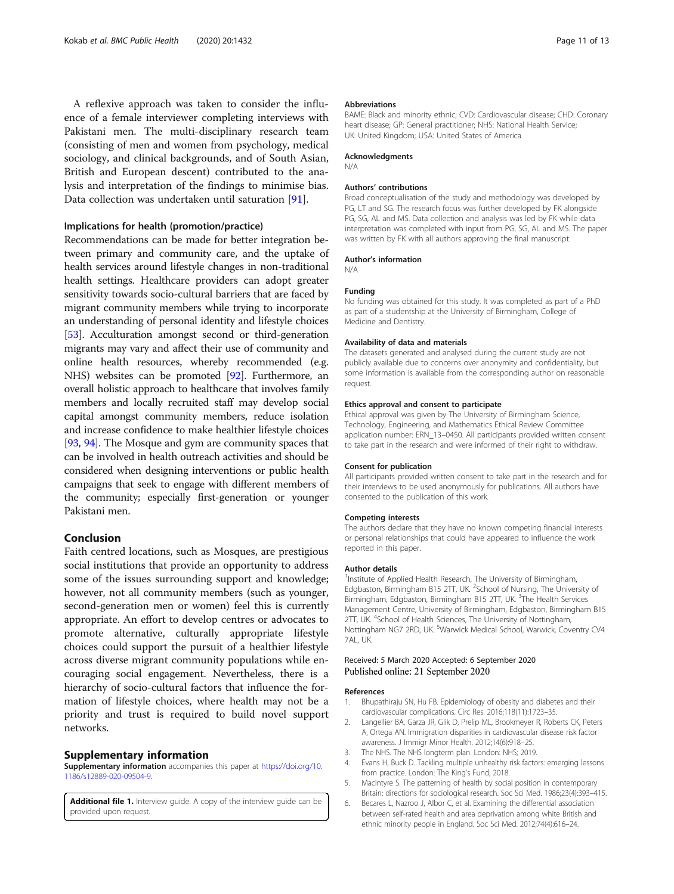<span id="page-10-0"></span>A reflexive approach was taken to consider the influence of a female interviewer completing interviews with Pakistani men. The multi-disciplinary research team (consisting of men and women from psychology, medical sociology, and clinical backgrounds, and of South Asian, British and European descent) contributed to the analysis and interpretation of the findings to minimise bias. Data collection was undertaken until saturation [[91](#page-12-0)].

# Implications for health (promotion/practice)

Recommendations can be made for better integration between primary and community care, and the uptake of health services around lifestyle changes in non-traditional health settings. Healthcare providers can adopt greater sensitivity towards socio-cultural barriers that are faced by migrant community members while trying to incorporate an understanding of personal identity and lifestyle choices [[53](#page-11-0)]. Acculturation amongst second or third-generation migrants may vary and affect their use of community and online health resources, whereby recommended (e.g. NHS) websites can be promoted [\[92\]](#page-12-0). Furthermore, an overall holistic approach to healthcare that involves family members and locally recruited staff may develop social capital amongst community members, reduce isolation and increase confidence to make healthier lifestyle choices [[93](#page-12-0), [94\]](#page-12-0). The Mosque and gym are community spaces that can be involved in health outreach activities and should be considered when designing interventions or public health campaigns that seek to engage with different members of the community; especially first-generation or younger Pakistani men.

# Conclusion

Faith centred locations, such as Mosques, are prestigious social institutions that provide an opportunity to address some of the issues surrounding support and knowledge; however, not all community members (such as younger, second-generation men or women) feel this is currently appropriate. An effort to develop centres or advocates to promote alternative, culturally appropriate lifestyle choices could support the pursuit of a healthier lifestyle across diverse migrant community populations while encouraging social engagement. Nevertheless, there is a hierarchy of socio-cultural factors that influence the formation of lifestyle choices, where health may not be a priority and trust is required to build novel support networks.

## Supplementary information

Supplementary information accompanies this paper at [https://doi.org/10.](https://doi.org/10.1186/s12889-020-09504-9) [1186/s12889-020-09504-9](https://doi.org/10.1186/s12889-020-09504-9).

Additional file 1. Interview guide. A copy of the interview guide can be provided upon request.

#### Abbreviations

BAME: Black and minority ethnic; CVD: Cardiovascular disease; CHD: Coronary heart disease; GP: General practitioner; NHS: National Health Service; UK: United Kingdom; USA: United States of America

#### Acknowledgments

N/A

## Authors' contributions

Broad conceptualisation of the study and methodology was developed by PG, LT and SG. The research focus was further developed by FK alongside PG, SG, AL and MS. Data collection and analysis was led by FK while data interpretation was completed with input from PG, SG, AL and MS. The paper was written by FK with all authors approving the final manuscript.

#### Author's information

N/A

#### Funding

No funding was obtained for this study. It was completed as part of a PhD as part of a studentship at the University of Birmingham, College of Medicine and Dentistry.

#### Availability of data and materials

The datasets generated and analysed during the current study are not publicly available due to concerns over anonymity and confidentiality, but some information is available from the corresponding author on reasonable request.

#### Ethics approval and consent to participate

Ethical approval was given by The University of Birmingham Science, Technology, Engineering, and Mathematics Ethical Review Committee application number: ERN\_13–0450. All participants provided written consent to take part in the research and were informed of their right to withdraw.

#### Consent for publication

All participants provided written consent to take part in the research and for their interviews to be used anonymously for publications. All authors have consented to the publication of this work.

#### Competing interests

The authors declare that they have no known competing financial interests or personal relationships that could have appeared to influence the work reported in this paper.

#### Author details

<sup>1</sup>Institute of Applied Health Research, The University of Birmingham, Edgbaston, Birmingham B15 2TT, UK. <sup>2</sup>School of Nursing, The University of Birmingham, Edgbaston, Birmingham B15 2TT, UK. <sup>3</sup>The Health Services Management Centre, University of Birmingham, Edgbaston, Birmingham B15 2TT, UK. <sup>4</sup> School of Health Sciences, The University of Nottingham, Nottingham NG7 2RD, UK. <sup>5</sup>Warwick Medical School, Warwick, Coventry CV4 7AL, UK.

## Received: 5 March 2020 Accepted: 6 September 2020 Published online: 21 September 2020

#### References

- 1. Bhupathiraju SN, Hu FB. Epidemiology of obesity and diabetes and their cardiovascular complications. Circ Res. 2016;118(11):1723–35.
- 2. Langellier BA, Garza JR, Glik D, Prelip ML, Brookmeyer R, Roberts CK, Peters A, Ortega AN. Immigration disparities in cardiovascular disease risk factor awareness. J Immigr Minor Health. 2012;14(6):918–25.
- 3. The NHS. The NHS longterm plan. London: NHS; 2019.
- 4. Evans H, Buck D. Tackling multiple unhealthy risk factors: emerging lessons from practice. London: The King's Fund; 2018.
- 5. Macintyre S. The patterning of health by social position in contemporary Britain: directions for sociological research. Soc Sci Med. 1986;23(4):393–415.
- 6. Becares L, Nazroo J, Albor C, et al. Examining the differential association between self-rated health and area deprivation among white British and ethnic minority people in England. Soc Sci Med. 2012;74(4):616–24.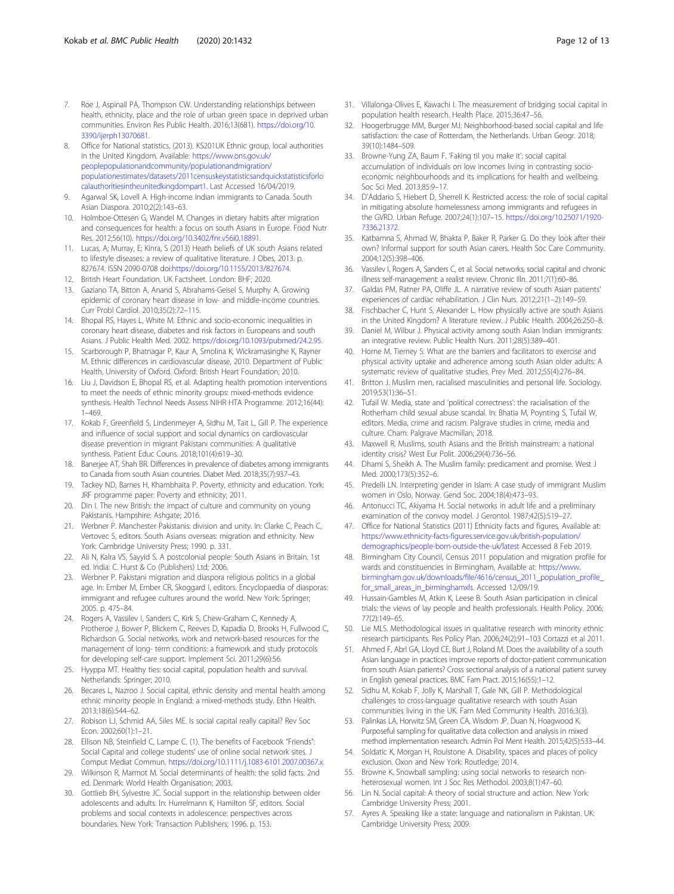- <span id="page-11-0"></span>7. Roe J, Aspinall PA, Thompson CW. Understanding relationships between health, ethnicity, place and the role of urban green space in deprived urban communities. Environ Res Public Health. 2016;13(681). [https://doi.org/10.](https://doi.org/10.3390/ijerph13070681) [3390/ijerph13070681](https://doi.org/10.3390/ijerph13070681).
- 8. Office for National statistics. (2013). KS201UK Ethnic group, local authorities in the United Kingdom. Available: [https://www.ons.gov.uk/](https://www.ons.gov.uk/peoplepopulationandcommunity/populationandmigration/populationestimates/datasets/2011censuskeystatisticsandquickstatisticsforlocalauthoritiesintheunitedkingdompart1) [peoplepopulationandcommunity/populationandmigration/](https://www.ons.gov.uk/peoplepopulationandcommunity/populationandmigration/populationestimates/datasets/2011censuskeystatisticsandquickstatisticsforlocalauthoritiesintheunitedkingdompart1) [populationestimates/datasets/2011censuskeystatisticsandquickstatisticsforlo](https://www.ons.gov.uk/peoplepopulationandcommunity/populationandmigration/populationestimates/datasets/2011censuskeystatisticsandquickstatisticsforlocalauthoritiesintheunitedkingdompart1) [calauthoritiesintheunitedkingdompart1.](https://www.ons.gov.uk/peoplepopulationandcommunity/populationandmigration/populationestimates/datasets/2011censuskeystatisticsandquickstatisticsforlocalauthoritiesintheunitedkingdompart1) Last Accessed 16/04/2019.
- 9. Agarwal SK, Lovell A. High-income Indian immigrants to Canada. South Asian Diaspora. 2010;2(2):143–63.
- 10. Holmboe-Ottesen G, Wandel M. Changes in dietary habits after migration and consequences for health: a focus on south Asians in Europe. Food Nutr Res. 2012;56(10). <https://doi.org/10.3402/fnr.v56i0.18891>.
- 11. Lucas, A; Murray, E; Kinra, S (2013) Heath beliefs of UK south Asians related to lifestyle diseases: a review of qualitative literature. J Obes, 2013. p. 827674. ISSN 2090-0708 doi:[https://doi.org/10.1155/2013/827674.](https://doi.org/10.1155/2013/827674)
- 12. British Heart Foundation. UK Factsheet. London: BHF; 2020.
- 13. Gaziano TA, Bitton A, Anand S, Abrahams-Geisel S, Murphy A. Growing epidemic of coronary heart disease in low- and middle-income countries. Curr Probl Cardiol. 2010;35(2):72–115.
- 14. Bhopal RS, Hayes L, White M. Ethnic and socio-economic inequalities in coronary heart disease, diabetes and risk factors in Europeans and south Asians. J Public Health Med. 2002. <https://doi.org/10.1093/pubmed/24.2.95>.
- 15. Scarborough P, Bhatnagar P, Kaur A, Smolina K, Wickramasinghe K, Rayner M. Ethnic differences in cardiovascular disease, 2010. Department of Public Health, University of Oxford. Oxford: British Heart Foundation; 2010.
- 16. Liu J, Davidson E, Bhopal RS, et al. Adapting health promotion interventions to meet the needs of ethnic minority groups: mixed-methods evidence synthesis. Health Technol Needs Assess NIHR HTA Programme. 2012;16(44): 1–469.
- 17. Kokab F, Greenfield S, Lindenmeyer A, Sidhu M, Tait L, Gill P. The experience and influence of social support and social dynamics on cardiovascular disease prevention in migrant Pakistani communities: A qualitative synthesis. Patient Educ Couns. 2018;101(4):619–30.
- 18. Banerjee AT, Shah BR. Differences in prevalence of diabetes among immigrants to Canada from south Asian countries. Diabet Med. 2018;35(7):937–43.
- 19. Tackey ND, Barnes H, Khambhaita P. Poverty, ethnicity and education. York: JRF programme paper: Poverty and ethnicity; 2011.
- 20. Din I. The new British: the impact of culture and community on young Pakistanis. Hampshire: Ashgate; 2016.
- 21. Werbner P. Manchester Pakistanis: division and unity. In: Clarke C, Peach C, Vertovec S, editors. South Asians overseas: migration and ethnicity. New York: Cambridge University Press; 1990. p. 331.
- 22. Ali N, Kalra VS, Sayyid S. A postcolonial people: South Asians in Britain. 1st ed. India: C. Hurst & Co (Publishers) Ltd; 2006.
- 23. Werbner P. Pakistani migration and diaspora religious politics in a global age. In: Ember M, Ember CR, Skoggard I, editors. Encyclopaedia of diasporas: immigrant and refugee cultures around the world. New York: Springer; 2005. p. 475–84.
- 24. Rogers A, Vassilev I, Sanders C, Kirk S, Chew-Graham C, Kennedy A, Protheroe J, Bower P, Blickem C, Reeves D, Kapadia D, Brooks H, Fullwood C, Richardson G. Social networks, work and network-based resources for the management of long- term conditions: a framework and study protocols for developing self-care support. Implement Sci. 2011;29(6):56.
- 25. Hyyppa MT. Healthy ties: social capital, population health and survival. Netherlands: Springer; 2010.
- 26. Becares L, Nazroo J. Social capital, ethnic density and mental health among ethnic minority people in England: a mixed-methods study. Ethn Health. 2013;18(6):544–62.
- 27. Robison LJ, Schmid AA, Siles ME. Is social capital really capital? Rev Soc Econ. 2002;60(1):1–21.
- 28. Ellison NB, Steinfield C, Lampe C. (1). The benefits of Facebook "Friends": Social Capital and college students' use of online social network sites. J Comput Mediat Commun. [https://doi.org/10.1111/j.1083-6101.2007.00367.x.](https://doi.org/10.1111/j.1083-6101.2007.00367.x)
- 29. Wilkinson R, Marmot M. Social determinants of health: the solid facts. 2nd ed. Denmark: World Health Organisation; 2003.
- 30. Gottlieb BH, Sylvestre JC. Social support in the relationship between older adolescents and adults. In: Hurrelmann K, Hamilton SF, editors. Social problems and social contexts in adolescence: perspectives across boundaries. New York: Transaction Publishers; 1996. p. 153.
- 31. Villalonga-Olives E, Kawachi I. The measurement of bridging social capital in population health research. Health Place. 2015;36:47–56.
- 32. Hoogerbrugge MM, Burger MJ. Neighborhood-based social capital and life satisfaction: the case of Rotterdam, the Netherlands. Urban Geogr. 2018; 39(10):1484–509.
- 33. Browne-Yung ZA, Baum F. 'Faking til you make it': social capital accumulation of individuals on low incomes living in contrasting socioeconomic neighbourhoods and its implications for health and wellbeing. Soc Sci Med. 2013;85:9–17.
- 34. D'Addario S, Hiebert D, Sherrell K. Restricted access: the role of social capital in mitigating absolute homelessness among immigrants and refugees in the GVRD. Urban Refuge. 2007;24(1):107–15. [https://doi.org/10.25071/1920-](https://doi.org/10.25071/1920-7336.21372) [7336.21372.](https://doi.org/10.25071/1920-7336.21372)
- 35. Katbamna S, Ahmad W, Bhakta P, Baker R, Parker G. Do they look after their own? Informal support for south Asian carers. Health Soc Care Community. 2004;12(5):398–406.
- 36. Vassilev I, Rogers A, Sanders C, et al. Social networks, social capital and chronic illness self-management: a realist review. Chronic Illn. 2011;7(1):60–86.
- 37. Galdas PM, Ratner PA, Oliffe JL. A narrative review of south Asian patients' experiences of cardiac rehabilitation. J Clin Nurs. 2012;21(1–2):149–59.
- 38. Fischbacher C, Hunt S, Alexander L. How physically active are south Asians in the United Kingdom? A literature review. J Public Health. 2004;26:250–8.
- 39. Daniel M, Wilbur J. Physical activity among south Asian Indian immigrants: an integrative review. Public Health Nurs. 2011;28(5):389–401.
- 40. Horne M, Tierney S. What are the barriers and facilitators to exercise and physical activity uptake and adherence among south Asian older adults: A systematic review of qualitative studies. Prev Med. 2012;55(4):276–84.
- 41. Britton J. Muslim men, racialised masculinities and personal life. Sociology. 2019;53(1):36–51.
- 42. Tufail W. Media, state and 'political correctness': the racialisation of the Rotherham child sexual abuse scandal. In: Bhatia M, Poynting S, Tufail W, editors. Media, crime and racism. Palgrave studies in crime, media and culture. Cham: Palgrave Macmillan; 2018.
- 43. Maxwell R. Muslims, south Asians and the British mainstream: a national identity crisis? West Eur Polit. 2006;29(4):736–56.
- 44. Dhami S, Sheikh A. The Muslim family: predicament and promise. West J Med. 2000;173(5):352–6.
- 45. Predelli LN. Interpreting gender in Islam: A case study of immigrant Muslim women in Oslo, Norway. Gend Soc. 2004;18(4):473–93.
- 46. Antonucci TC, Akiyama H. Social networks in adult life and a preliminary examination of the convoy model. J Gerontol. 1987;42(5):519–27.
- 47. Office for National Statistics (2011) Ethnicity facts and figures, Available at: [https://www.ethnicity-facts-figures.service.gov.uk/british-population/](https://www.ethnicity-facts-figures.service.gov.uk/british-population/demographics/people-born-outside-the-uk/latest) [demographics/people-born-outside-the-uk/latest](https://www.ethnicity-facts-figures.service.gov.uk/british-population/demographics/people-born-outside-the-uk/latest) Accessed 8 Feb 2019.
- 48. Birmingham City Council, Census 2011 population and migration profile for wards and constituencies in Birmingham, Available at: [https://www.](https://www.birmingham.gov.uk/downloads/file/4616/census_2011_population_profile_for_small_areas_in_birminghamxls) [birmingham.gov.uk/downloads/file/4616/census\\_2011\\_population\\_profile\\_](https://www.birmingham.gov.uk/downloads/file/4616/census_2011_population_profile_for_small_areas_in_birminghamxls) [for\\_small\\_areas\\_in\\_birminghamxls](https://www.birmingham.gov.uk/downloads/file/4616/census_2011_population_profile_for_small_areas_in_birminghamxls). Accessed 12/09/19.
- 49. Hussain-Gambles M, Atkin K, Leese B. South Asian participation in clinical trials: the views of lay people and health professionals. Health Policy. 2006; 77(2):149–65.
- 50. Lie MLS. Methodological issues in qualitative research with minority ethnic research participants. Res Policy Plan. 2006;24(2):91–103 Cortazzi et al 2011.
- 51. Ahmed F, Abrl GA, Lloyd CE, Burt J, Roland M. Does the availability of a south Asian language in practices improve reports of doctor-patient communication from south Asian patients? Cross sectional analysis of a national patient survey in English general practices. BMC Fam Pract. 2015;16(55):1–12.
- 52. Sidhu M, Kokab F, Jolly K, Marshall T, Gale NK, Gill P. Methodological challenges to cross-language qualitative research with south Asian communities living in the UK. Fam Med Community Health. 2016;3(3).
- 53. Palinkas LA, Horwitz SM, Green CA, Wisdom JP, Duan N, Hoagwood K. Purposeful sampling for qualitative data collection and analysis in mixed method implementation research. Admin Pol Ment Health. 2015;42(5):533–44.
- 54. Soldatic K, Morgan H, Roulstone A. Disability, spaces and places of policy exclusion. Oxon and New York: Routledge; 2014.
- 55. Browne K. Snowball sampling: using social networks to research nonheterosexual women. Int J Soc Res Methodol. 2003;8(1):47–60.
- 56. Lin N. Social capital: A theory of social structure and action. New York: Cambridge University Press; 2001.
- 57. Ayres A. Speaking like a state: language and nationalism in Pakistan. UK: Cambridge University Press; 2009.